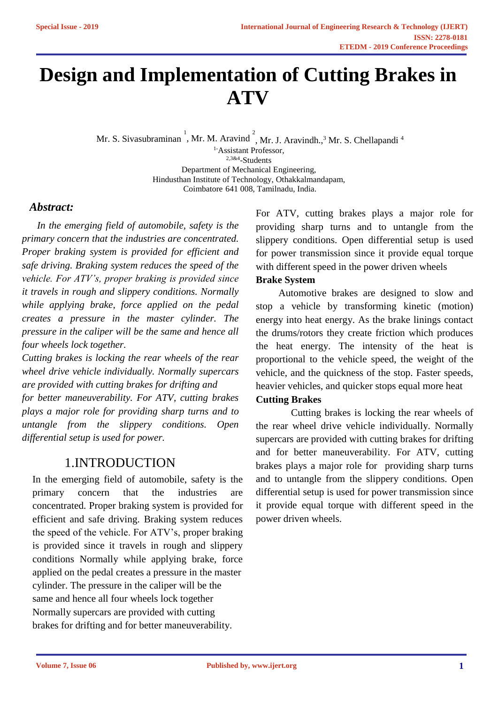# **Design and Implementation of Cutting Brakes in ATV**

Mr. S. Sivasubraminan<sup>1</sup>, Mr. M. Aravind<sup>2</sup>, Mr. J. Aravindh.,<sup>3</sup> Mr. S. Chellapandi<sup>4</sup> 1-Assistant Professor, 2,3&4 -Students Department of Mechanical Engineering, Hindusthan Institute of Technology, Othakkalmandapam, Coimbatore 641 008, Tamilnadu, India.

# *Abstract:*

 *In the emerging field of automobile, safety is the primary concern that the industries are concentrated. Proper braking system is provided for efficient and safe driving. Braking system reduces the speed of the vehicle. For ATV's, proper braking is provided since it travels in rough and slippery conditions. Normally while applying brake, force applied on the pedal creates a pressure in the master cylinder. The pressure in the caliper will be the same and hence all four wheels lock together.*

*Cutting brakes is locking the rear wheels of the rear wheel drive vehicle individually. Normally supercars are provided with cutting brakes for drifting and for better maneuverability. For ATV, cutting brakes plays a major role for providing sharp turns and to untangle from the slippery conditions. Open differential setup is used for power.*

# 1.INTRODUCTION

In the emerging field of automobile, safety is the concentrated. Proper braking system is provided for efficient and safe driving. Braking system reduces primary concern that the industries are the speed of the vehicle. For ATV's, proper braking is provided since it travels in rough and slippery conditions Normally while applying brake, force applied on the pedal creates a pressure in the master cylinder. The pressure in the caliper will be the same and hence all four wheels lock together Normally supercars are provided with cutting brakes for drifting and for better maneuverability.

For ATV, cutting brakes plays a major role for providing sharp turns and to untangle from the slippery conditions. Open differential setup is used for power transmission since it provide equal torque with different speed in the power driven wheels

# **Brake System**

 Automotive brakes are designed to slow and stop a vehicle by transforming kinetic (motion) energy into heat energy. As the brake linings contact the drums/rotors they create friction which produces the heat energy. The intensity of the heat is proportional to the vehicle speed, the weight of the vehicle, and the quickness of the stop. Faster speeds, heavier vehicles, and quicker stops equal more heat

## **Cutting Brakes**

 Cutting brakes is locking the rear wheels of the rear wheel drive vehicle individually. Normally supercars are provided with cutting brakes for drifting and for better maneuverability. For ATV, cutting brakes plays a major role for providing sharp turns and to untangle from the slippery conditions. Open differential setup is used for power transmission since it provide equal torque with different speed in the power driven wheels.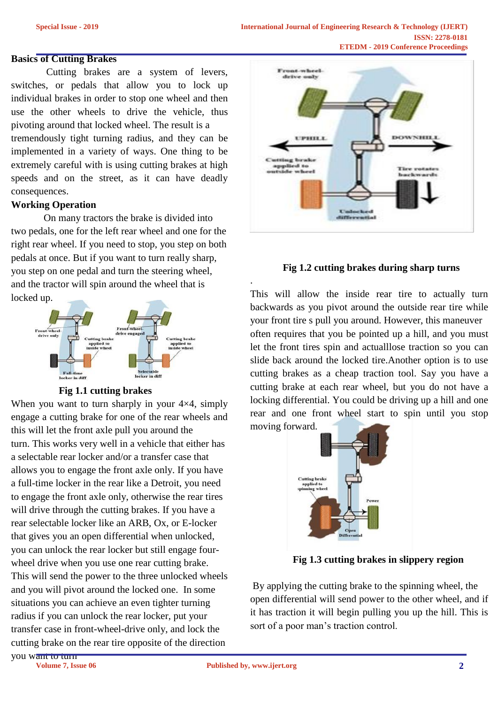### **Basics of Cutting Brakes**

 Cutting brakes are a system of levers, switches, or pedals that allow you to lock up individual brakes in order to stop one wheel and then use the other wheels to drive the vehicle, thus pivoting around that locked wheel. The result is a tremendously tight turning radius, and they can be implemented in a variety of ways. One thing to be extremely careful with is using cutting brakes at high speeds and on the street, as it can have deadly consequences.

### **Working Operation**

 On many tractors the brake is divided into two pedals, one for the left rear wheel and one for the right rear wheel. If you need to stop, you step on both pedals at once. But if you want to turn really sharp, you step on one pedal and turn the steering wheel, and the tractor will spin around the wheel that is locked up.



#### **Fig 1.1 cutting brakes**

When you want to turn sharply in your  $4\times4$ , simply engage a cutting brake for one of the rear wheels and this will let the front axle pull you around the turn. This works very well in a vehicle that either has a selectable rear locker and/or a transfer case that allows you to engage the front axle only. If you have a full-time locker in the rear like a Detroit, you need to engage the front axle only, otherwise the rear tires will drive through the cutting brakes. If you have a rear selectable locker like an ARB, Ox, or E-locker that gives you an open differential when unlocked, you can unlock the rear locker but still engage fourwheel drive when you use one rear cutting brake. This will send the power to the three unlocked wheels and you will pivot around the locked one. In some situations you can achieve an even tighter turning radius if you can unlock the rear locker, put your transfer case in front-wheel-drive only, and lock the cutting brake on the rear tire opposite of the direction



#### **Fig 1.2 cutting brakes during sharp turns**

This will allow the inside rear tire to actually turn backwards as you pivot around the outside rear tire while your front tire s pull you around. However, this maneuver often requires that you be pointed up a hill, and you must let the front tires spin and actualllose traction so you can slide back around the locked tire.Another option is to use cutting brakes as a cheap traction tool. Say you have a cutting brake at each rear wheel, but you do not have a locking differential. You could be driving up a hill and one rear and one front wheel start to spin until you stop moving forward.



**Fig 1.3 cutting brakes in slippery region**

By applying the cutting brake to the spinning wheel, the open differential will send power to the other wheel, and if it has traction it will begin pulling you up the hill. This is sort of a poor man's traction control.

.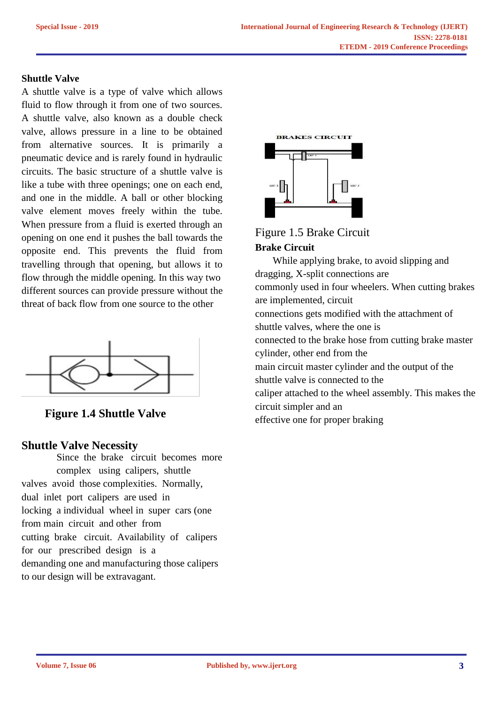## **Shuttle Valve**

A shuttle valve is a type of valve which allows fluid to flow through it from one of two sources. A shuttle valve, also known as a double check valve, allows pressure in a line to be obtained from alternative sources. It is primarily a pneumatic device and is rarely found in hydraulic circuits. The basic structure of a shuttle valve is like a tube with three openings; one on each end, and one in the middle. A ball or other blocking valve element moves freely within the tube. When pressure from a fluid is exerted through an opening on one end it pushes the ball towards the opposite end. This prevents the fluid from travelling through that opening, but allows it to flow through the middle opening. In this way two different sources can provide pressure without the threat of back flow from one source to the other



 **Figure 1.4 Shuttle Valve**

# **Shuttle Valve Necessity**

Since the brake circuit becomes more complex using calipers, shuttle valves avoid those complexities. Normally, dual inlet port calipers are used in locking a individual wheel in super cars (one from main circuit and other from cutting brake circuit. Availability of calipers for our prescribed design is a demanding one and manufacturing those calipers to our design will be extravagant.



Figure 1.5 Brake Circuit **Brake Circuit**

 While applying brake, to avoid slipping and dragging, X-split connections are commonly used in four wheelers. When cutting brakes are implemented, circuit connections gets modified with the attachment of shuttle valves, where the one is connected to the brake hose from cutting brake master cylinder, other end from the main circuit master cylinder and the output of the shuttle valve is connected to the caliper attached to the wheel assembly. This makes the circuit simpler and an effective one for proper braking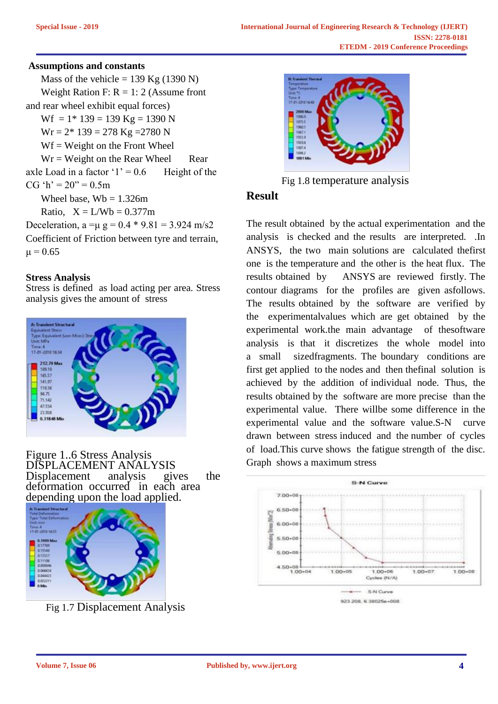## **Assumptions and constants**

Mass of the vehicle =  $139$  Kg (1390 N) Weight Ration F:  $R = 1: 2$  (Assume front and rear wheel exhibit equal forces)  $Wf = 1*139 = 139$  Kg = 1390 N  $Wr = 2* 139 = 278$  Kg = 2780 N  $Wf = Weight on the Front Wheeler$  $Wr = Weight on the Rear Wheeler$  Rear axle Load in a factor ' $1' = 0.6$  Height of the CG 'h' =  $20$ " = 0.5m Wheel base,  $Wb = 1.326m$ Ratio,  $X = L/Wb = 0.377m$ Deceleration,  $a = \mu g = 0.4 * 9.81 = 3.924$  m/s2

Coefficient of Friction between tyre and terrain,  $\mu = 0.65$ 

## **Stress Analysis**

Stress is defined as load acting per area. Stress analysis gives the amount of stress



Figure 1..6 Stress Analysis DISPLACEMENT ANALYSIS<br>Displacement analysis giv Displacement analysis gives the deformation occurred in each area depending upon the load applied.



Fig 1.7 Displacement Analysis



Fig 1.8 temperature analysis

# **Result**

The result obtained by the actual experimentation and the analysis is checked and the results are interpreted. .In ANSYS, the two main solutions are calculated thefirst one is the temperature and the other is the heat flux. The results obtained by ANSYS are reviewed firstly. The contour diagrams for the profiles are given asfollows. The results obtained by the software are verified by the experimentalvalues which are get obtained by the experimental work.the main advantage of thesoftware analysis is that it discretizes the whole model into a small sizedfragments. The boundary conditions are first get applied to the nodes and then thefinal solution is achieved by the addition of individual node. Thus, the results obtained by the software are more precise than the experimental value. There willbe some difference in the experimental value and the software value.S-N curve drawn between stress induced and the number of cycles of load.This curve shows the fatigue strength of the disc. Graph shows a maximum stress